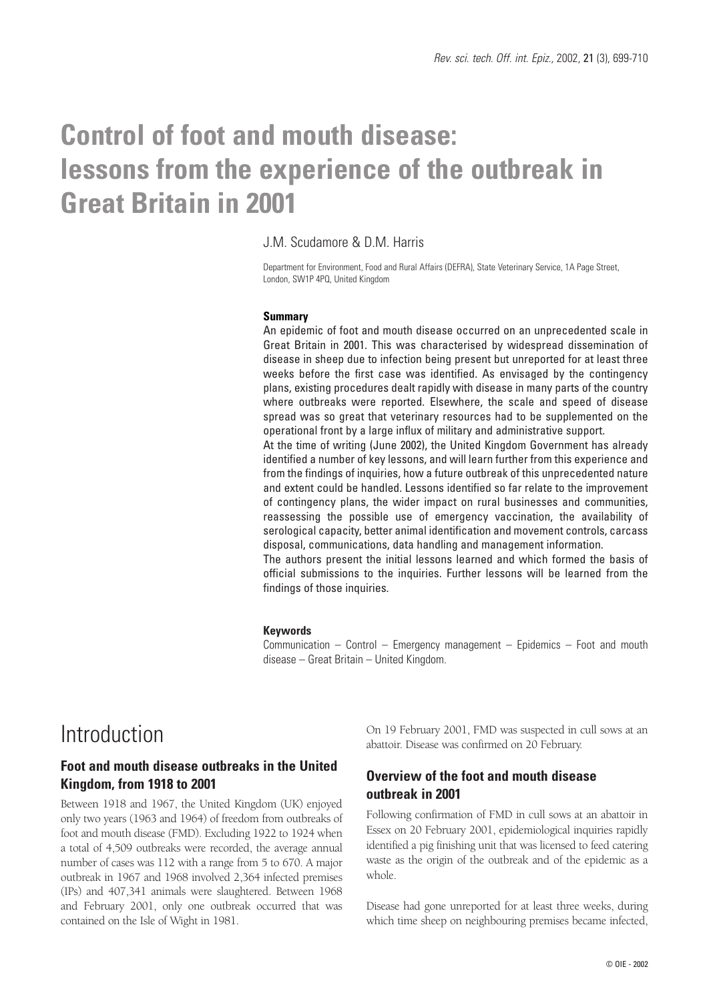# **Control of foot and mouth disease: lessons from the experience of the outbreak in Great Britain in 2001**

### J.M. Scudamore & D.M. Harris

Department for Environment, Food and Rural Affairs (DEFRA), State Veterinary Service, 1A Page Street, London, SW1P 4PQ, United Kingdom

#### **Summary**

An epidemic of foot and mouth disease occurred on an unprecedented scale in Great Britain in 2001. This was characterised by widespread dissemination of disease in sheep due to infection being present but unreported for at least three weeks before the first case was identified. As envisaged by the contingency plans, existing procedures dealt rapidly with disease in many parts of the country where outbreaks were reported. Elsewhere, the scale and speed of disease spread was so great that veterinary resources had to be supplemented on the operational front by a large influx of military and administrative support.

At the time of writing (June 2002), the United Kingdom Government has already identified a number of key lessons, and will learn further from this experience and from the findings of inquiries, how a future outbreak of this unprecedented nature and extent could be handled. Lessons identified so far relate to the improvement of contingency plans, the wider impact on rural businesses and communities, reassessing the possible use of emergency vaccination, the availability of serological capacity, better animal identification and movement controls, carcass disposal, communications, data handling and management information.

The authors present the initial lessons learned and which formed the basis of official submissions to the inquiries. Further lessons will be learned from the findings of those inquiries.

#### **Keywords**

Communication – Control – Emergency management – Epidemics – Foot and mouth disease – Great Britain – United Kingdom.

## Introduction

### **Foot and mouth disease outbreaks in the United Kingdom, from 1918 to 2001**

Between 1918 and 1967, the United Kingdom (UK) enjoyed only two years (1963 and 1964) of freedom from outbreaks of foot and mouth disease (FMD). Excluding 1922 to 1924 when a total of 4,509 outbreaks were recorded, the average annual number of cases was 112 with a range from 5 to 670. A major outbreak in 1967 and 1968 involved 2,364 infected premises (IPs) and 407,341 animals were slaughtered. Between 1968 and February 2001, only one outbreak occurred that was contained on the Isle of Wight in 1981.

On 19 February 2001, FMD was suspected in cull sows at an abattoir. Disease was confirmed on 20 February.

### **Overview of the foot and mouth disease outbreak in 2001**

Following confirmation of FMD in cull sows at an abattoir in Essex on 20 February 2001, epidemiological inquiries rapidly identified a pig finishing unit that was licensed to feed catering waste as the origin of the outbreak and of the epidemic as a whole.

Disease had gone unreported for at least three weeks, during which time sheep on neighbouring premises became infected,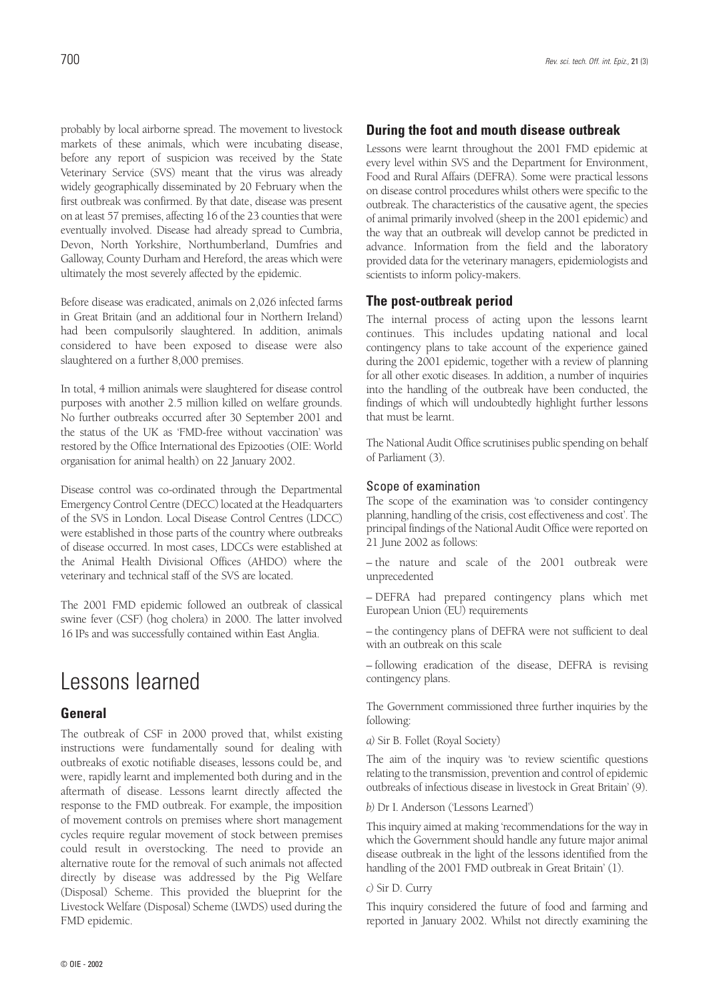probably by local airborne spread. The movement to livestock markets of these animals, which were incubating disease, before any report of suspicion was received by the State Veterinary Service (SVS) meant that the virus was already widely geographically disseminated by 20 February when the first outbreak was confirmed. By that date, disease was present on at least 57 premises, affecting 16 of the 23 counties that were eventually involved. Disease had already spread to Cumbria, Devon, North Yorkshire, Northumberland, Dumfries and Galloway, County Durham and Hereford, the areas which were ultimately the most severely affected by the epidemic.

Before disease was eradicated, animals on 2,026 infected farms in Great Britain (and an additional four in Northern Ireland) had been compulsorily slaughtered. In addition, animals considered to have been exposed to disease were also slaughtered on a further 8,000 premises.

In total, 4 million animals were slaughtered for disease control purposes with another 2.5 million killed on welfare grounds. No further outbreaks occurred after 30 September 2001 and the status of the UK as 'FMD-free without vaccination' was restored by the Office International des Epizooties (OIE: World organisation for animal health) on 22 January 2002.

Disease control was co-ordinated through the Departmental Emergency Control Centre (DECC) located at the Headquarters of the SVS in London. Local Disease Control Centres (LDCC) were established in those parts of the country where outbreaks of disease occurred. In most cases, LDCCs were established at the Animal Health Divisional Offices (AHDO) where the veterinary and technical staff of the SVS are located.

The 2001 FMD epidemic followed an outbreak of classical swine fever (CSF) (hog cholera) in 2000. The latter involved 16 IPs and was successfully contained within East Anglia.

# Lessons learned

### **General**

The outbreak of CSF in 2000 proved that, whilst existing instructions were fundamentally sound for dealing with outbreaks of exotic notifiable diseases, lessons could be, and were, rapidly learnt and implemented both during and in the aftermath of disease. Lessons learnt directly affected the response to the FMD outbreak. For example, the imposition of movement controls on premises where short management cycles require regular movement of stock between premises could result in overstocking. The need to provide an alternative route for the removal of such animals not affected directly by disease was addressed by the Pig Welfare (Disposal) Scheme. This provided the blueprint for the Livestock Welfare (Disposal) Scheme (LWDS) used during the FMD epidemic.

### **During the foot and mouth disease outbreak**

Lessons were learnt throughout the 2001 FMD epidemic at every level within SVS and the Department for Environment, Food and Rural Affairs (DEFRA). Some were practical lessons on disease control procedures whilst others were specific to the outbreak. The characteristics of the causative agent, the species of animal primarily involved (sheep in the 2001 epidemic) and the way that an outbreak will develop cannot be predicted in advance. Information from the field and the laboratory provided data for the veterinary managers, epidemiologists and scientists to inform policy-makers.

### **The post-outbreak period**

The internal process of acting upon the lessons learnt continues. This includes updating national and local contingency plans to take account of the experience gained during the 2001 epidemic, together with a review of planning for all other exotic diseases. In addition, a number of inquiries into the handling of the outbreak have been conducted, the findings of which will undoubtedly highlight further lessons that must be learnt.

The National Audit Office scrutinises public spending on behalf of Parliament (3).

### Scope of examination

The scope of the examination was 'to consider contingency planning, handling of the crisis, cost effectiveness and cost'. The principal findings of the National Audit Office were reported on 21 June 2002 as follows:

– the nature and scale of the 2001 outbreak were unprecedented

– DEFRA had prepared contingency plans which met European Union (EU) requirements

– the contingency plans of DEFRA were not sufficient to deal with an outbreak on this scale

– following eradication of the disease, DEFRA is revising contingency plans.

The Government commissioned three further inquiries by the following:

*a)* Sir B. Follet (Royal Society)

The aim of the inquiry was 'to review scientific questions relating to the transmission, prevention and control of epidemic outbreaks of infectious disease in livestock in Great Britain' (9).

*b)* Dr I. Anderson ('Lessons Learned')

This inquiry aimed at making 'recommendations for the way in which the Government should handle any future major animal disease outbreak in the light of the lessons identified from the handling of the 2001 FMD outbreak in Great Britain' (1).

#### *c)* Sir D. Curry

This inquiry considered the future of food and farming and reported in January 2002. Whilst not directly examining the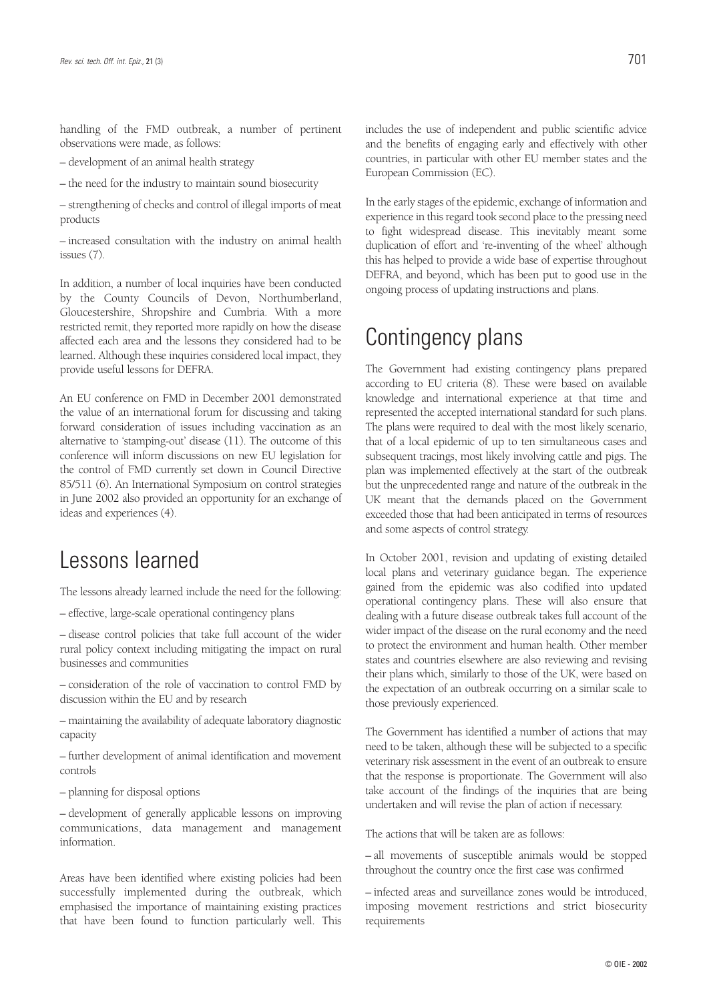handling of the FMD outbreak, a number of pertinent observations were made, as follows:

– development of an animal health strategy

– the need for the industry to maintain sound biosecurity

– strengthening of checks and control of illegal imports of meat products

– increased consultation with the industry on animal health issues (7).

In addition, a number of local inquiries have been conducted by the County Councils of Devon, Northumberland, Gloucestershire, Shropshire and Cumbria. With a more restricted remit, they reported more rapidly on how the disease affected each area and the lessons they considered had to be learned. Although these inquiries considered local impact, they provide useful lessons for DEFRA.

An EU conference on FMD in December 2001 demonstrated the value of an international forum for discussing and taking forward consideration of issues including vaccination as an alternative to 'stamping-out' disease (11). The outcome of this conference will inform discussions on new EU legislation for the control of FMD currently set down in Council Directive 85/511 (6). An International Symposium on control strategies in June 2002 also provided an opportunity for an exchange of ideas and experiences (4).

## Lessons learned

The lessons already learned include the need for the following:

– effective, large-scale operational contingency plans

– disease control policies that take full account of the wider rural policy context including mitigating the impact on rural businesses and communities

– consideration of the role of vaccination to control FMD by discussion within the EU and by research

– maintaining the availability of adequate laboratory diagnostic capacity

– further development of animal identification and movement controls

– planning for disposal options

– development of generally applicable lessons on improving communications, data management and management information.

Areas have been identified where existing policies had been successfully implemented during the outbreak, which emphasised the importance of maintaining existing practices that have been found to function particularly well. This

includes the use of independent and public scientific advice and the benefits of engaging early and effectively with other countries, in particular with other EU member states and the European Commission (EC).

In the early stages of the epidemic, exchange of information and experience in this regard took second place to the pressing need to fight widespread disease. This inevitably meant some duplication of effort and 're-inventing of the wheel' although this has helped to provide a wide base of expertise throughout DEFRA, and beyond, which has been put to good use in the ongoing process of updating instructions and plans.

# Contingency plans

The Government had existing contingency plans prepared according to EU criteria (8). These were based on available knowledge and international experience at that time and represented the accepted international standard for such plans. The plans were required to deal with the most likely scenario, that of a local epidemic of up to ten simultaneous cases and subsequent tracings, most likely involving cattle and pigs. The plan was implemented effectively at the start of the outbreak but the unprecedented range and nature of the outbreak in the UK meant that the demands placed on the Government exceeded those that had been anticipated in terms of resources and some aspects of control strategy.

In October 2001, revision and updating of existing detailed local plans and veterinary guidance began. The experience gained from the epidemic was also codified into updated operational contingency plans. These will also ensure that dealing with a future disease outbreak takes full account of the wider impact of the disease on the rural economy and the need to protect the environment and human health. Other member states and countries elsewhere are also reviewing and revising their plans which, similarly to those of the UK, were based on the expectation of an outbreak occurring on a similar scale to those previously experienced.

The Government has identified a number of actions that may need to be taken, although these will be subjected to a specific veterinary risk assessment in the event of an outbreak to ensure that the response is proportionate. The Government will also take account of the findings of the inquiries that are being undertaken and will revise the plan of action if necessary.

The actions that will be taken are as follows:

– all movements of susceptible animals would be stopped throughout the country once the first case was confirmed

– infected areas and surveillance zones would be introduced, imposing movement restrictions and strict biosecurity requirements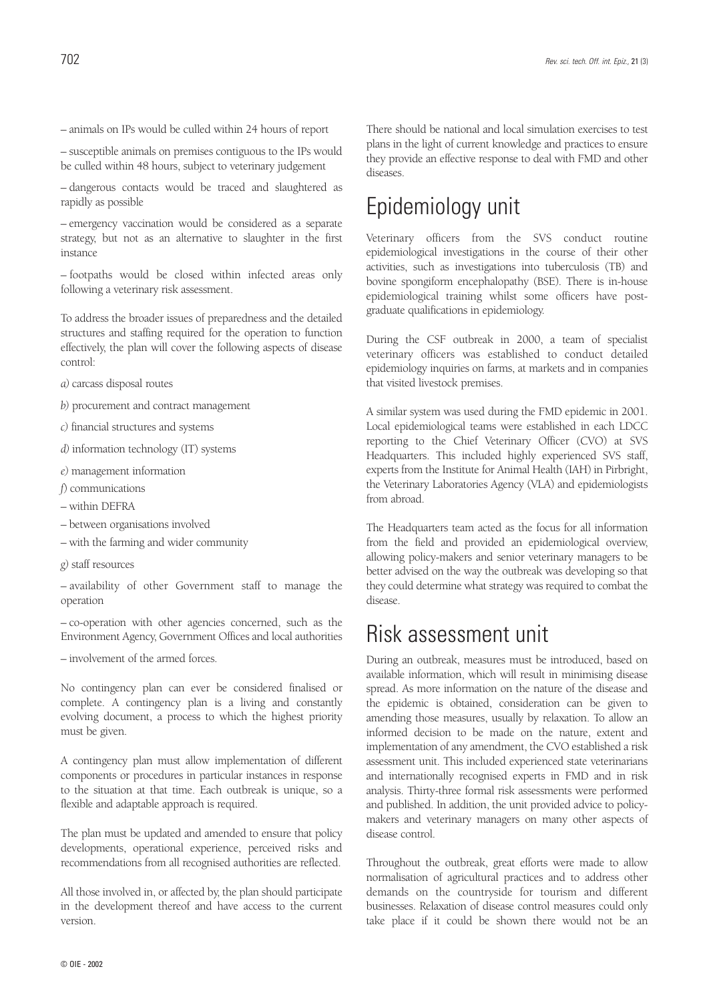– animals on IPs would be culled within 24 hours of report

– susceptible animals on premises contiguous to the IPs would be culled within 48 hours, subject to veterinary judgement

– dangerous contacts would be traced and slaughtered as rapidly as possible

– emergency vaccination would be considered as a separate strategy, but not as an alternative to slaughter in the first instance

– footpaths would be closed within infected areas only following a veterinary risk assessment.

To address the broader issues of preparedness and the detailed structures and staffing required for the operation to function effectively, the plan will cover the following aspects of disease control:

*a)* carcass disposal routes

*b)* procurement and contract management

*c)* financial structures and systems

*d)* information technology (IT) systems

*e)* management information

*f*) communications

– within DEFRA

– between organisations involved

– with the farming and wider community

*g)* staff resources

– availability of other Government staff to manage the operation

– co-operation with other agencies concerned, such as the Environment Agency, Government Offices and local authorities

– involvement of the armed forces.

No contingency plan can ever be considered finalised or complete. A contingency plan is a living and constantly evolving document, a process to which the highest priority must be given.

A contingency plan must allow implementation of different components or procedures in particular instances in response to the situation at that time. Each outbreak is unique, so a flexible and adaptable approach is required.

The plan must be updated and amended to ensure that policy developments, operational experience, perceived risks and recommendations from all recognised authorities are reflected.

All those involved in, or affected by, the plan should participate in the development thereof and have access to the current version.

There should be national and local simulation exercises to test plans in the light of current knowledge and practices to ensure they provide an effective response to deal with FMD and other diseases.

# Epidemiology unit

Veterinary officers from the SVS conduct routine epidemiological investigations in the course of their other activities, such as investigations into tuberculosis (TB) and bovine spongiform encephalopathy (BSE). There is in-house epidemiological training whilst some officers have postgraduate qualifications in epidemiology.

During the CSF outbreak in 2000, a team of specialist veterinary officers was established to conduct detailed epidemiology inquiries on farms, at markets and in companies that visited livestock premises.

A similar system was used during the FMD epidemic in 2001. Local epidemiological teams were established in each LDCC reporting to the Chief Veterinary Officer (CVO) at SVS Headquarters. This included highly experienced SVS staff, experts from the Institute for Animal Health (IAH) in Pirbright, the Veterinary Laboratories Agency (VLA) and epidemiologists from abroad.

The Headquarters team acted as the focus for all information from the field and provided an epidemiological overview, allowing policy-makers and senior veterinary managers to be better advised on the way the outbreak was developing so that they could determine what strategy was required to combat the disease.

## Risk assessment unit

During an outbreak, measures must be introduced, based on available information, which will result in minimising disease spread. As more information on the nature of the disease and the epidemic is obtained, consideration can be given to amending those measures, usually by relaxation. To allow an informed decision to be made on the nature, extent and implementation of any amendment, the CVO established a risk assessment unit. This included experienced state veterinarians and internationally recognised experts in FMD and in risk analysis. Thirty-three formal risk assessments were performed and published. In addition, the unit provided advice to policymakers and veterinary managers on many other aspects of disease control.

Throughout the outbreak, great efforts were made to allow normalisation of agricultural practices and to address other demands on the countryside for tourism and different businesses. Relaxation of disease control measures could only take place if it could be shown there would not be an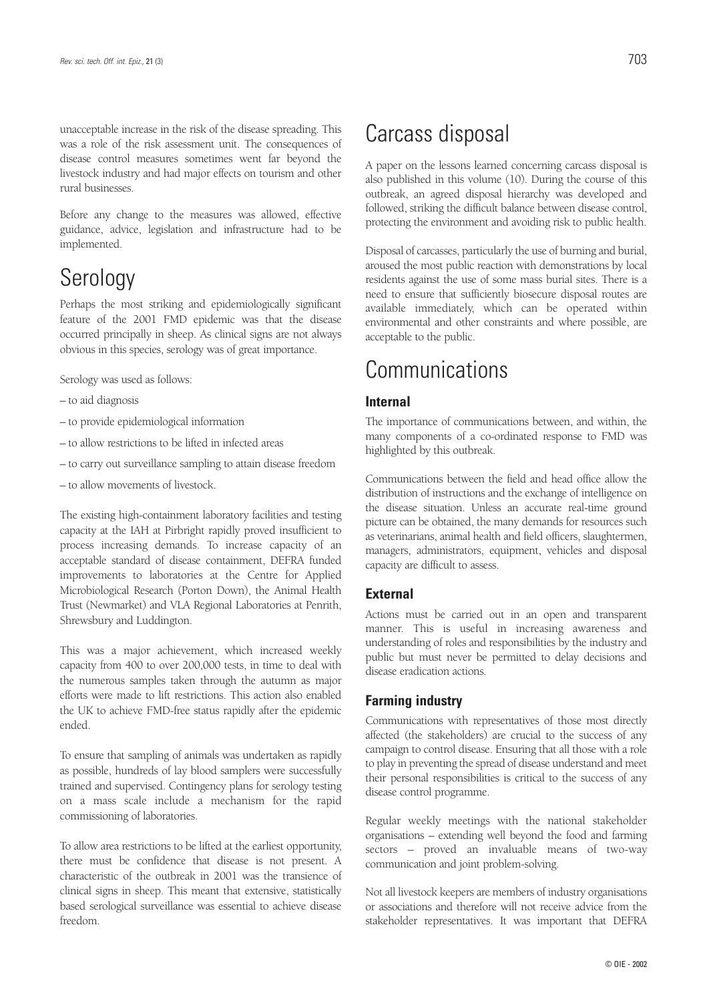unacceptable increase in the risk of the disease spreading. This was a role of the risk assessment unit. The consequences of disease control measures sometimes went far beyond the livestock industry and had major effects on tourism and other rural businesses.

Before any change to the measures was allowed, effective guidance, advice, legislation and infrastructure had to be implemented.

# Serology

Perhaps the most striking and epidemiologically significant feature of the 2001 FMD epidemic was that the disease occurred principally in sheep. As clinical signs are not always obvious in this species, serology was of great importance.

Serology was used as follows:

- to aid diagnosis
- to provide epidemiological information
- to allow restrictions to be lifted in infected areas
- to carry out surveillance sampling to attain disease freedom
- to allow movements of livestock.

The existing high-containment laboratory facilities and testing capacity at the IAH at Pirbright rapidly proved insufficient to process increasing demands. To increase capacity of an acceptable standard of disease containment, DEFRA funded improvements to laboratories at the Centre for Applied Microbiological Research (Porton Down), the Animal Health Trust (Newmarket) and VLA Regional Laboratories at Penrith, Shrewsbury and Luddington.

This was a major achievement, which increased weekly capacity from 400 to over 200,000 tests, in time to deal with the numerous samples taken through the autumn as major efforts were made to lift restrictions. This action also enabled the UK to achieve FMD-free status rapidly after the epidemic ended.

To ensure that sampling of animals was undertaken as rapidly as possible, hundreds of lay blood samplers were successfully trained and supervised. Contingency plans for serology testing on a mass scale include a mechanism for the rapid commissioning of laboratories.

To allow area restrictions to be lifted at the earliest opportunity, there must be confidence that disease is not present. A characteristic of the outbreak in 2001 was the transience of clinical signs in sheep. This meant that extensive, statistically based serological surveillance was essential to achieve disease freedom.

## Carcass disposal

A paper on the lessons learned concerning carcass disposal is also published in this volume (10). During the course of this outbreak, an agreed disposal hierarchy was developed and followed, striking the difficult balance between disease control, protecting the environment and avoiding risk to public health.

Disposal of carcasses, particularly the use of burning and burial, aroused the most public reaction with demonstrations by local residents against the use of some mass burial sites. There is a need to ensure that sufficiently biosecure disposal routes are available immediately, which can be operated within environmental and other constraints and where possible, are acceptable to the public.

## **Communications**

### **Internal**

The importance of communications between, and within, the many components of a co-ordinated response to FMD was highlighted by this outbreak.

Communications between the field and head office allow the distribution of instructions and the exchange of intelligence on the disease situation. Unless an accurate real-time ground picture can be obtained, the many demands for resources such as veterinarians, animal health and field officers, slaughtermen, managers, administrators, equipment, vehicles and disposal capacity are difficult to assess.

#### **External**

Actions must be carried out in an open and transparent manner. This is useful in increasing awareness and understanding of roles and responsibilities by the industry and public but must never be permitted to delay decisions and disease eradication actions.

### **Farming industry**

Communications with representatives of those most directly affected (the stakeholders) are crucial to the success of any campaign to control disease. Ensuring that all those with a role to play in preventing the spread of disease understand and meet their personal responsibilities is critical to the success of any disease control programme.

Regular weekly meetings with the national stakeholder organisations – extending well beyond the food and farming sectors – proved an invaluable means of two-way communication and joint problem-solving.

Not all livestock keepers are members of industry organisations or associations and therefore will not receive advice from the stakeholder representatives. It was important that DEFRA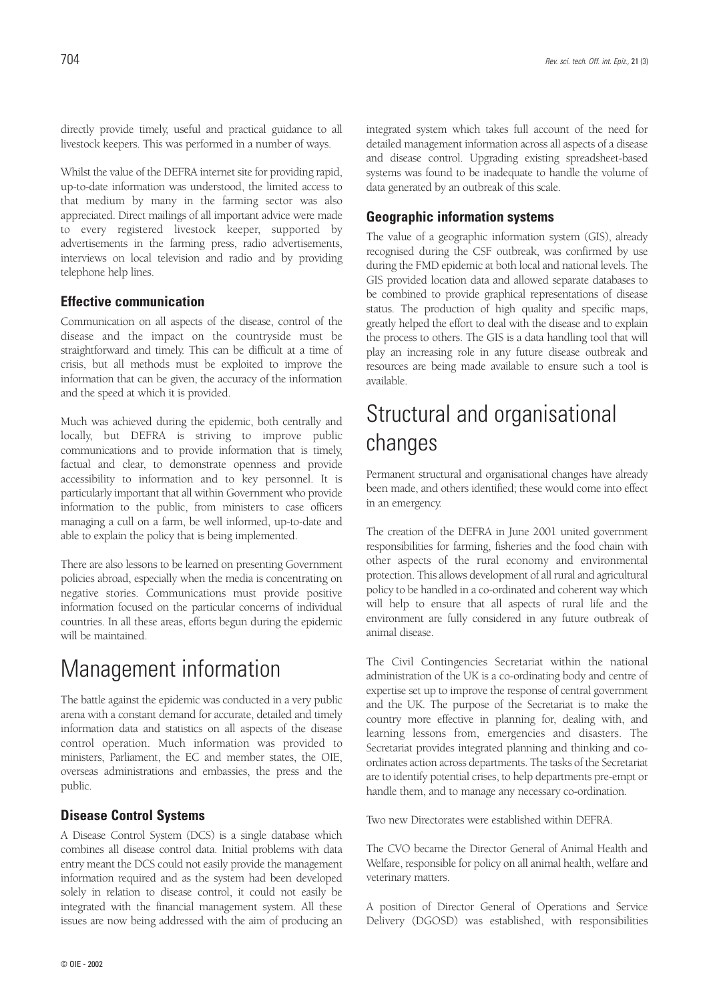Whilst the value of the DEFRA internet site for providing rapid, up-to-date information was understood, the limited access to that medium by many in the farming sector was also appreciated. Direct mailings of all important advice were made to every registered livestock keeper, supported by advertisements in the farming press, radio advertisements, interviews on local television and radio and by providing telephone help lines.

### **Effective communication**

Communication on all aspects of the disease, control of the disease and the impact on the countryside must be straightforward and timely. This can be difficult at a time of crisis, but all methods must be exploited to improve the information that can be given, the accuracy of the information and the speed at which it is provided.

Much was achieved during the epidemic, both centrally and locally, but DEFRA is striving to improve public communications and to provide information that is timely, factual and clear, to demonstrate openness and provide accessibility to information and to key personnel. It is particularly important that all within Government who provide information to the public, from ministers to case officers managing a cull on a farm, be well informed, up-to-date and able to explain the policy that is being implemented.

There are also lessons to be learned on presenting Government policies abroad, especially when the media is concentrating on negative stories. Communications must provide positive information focused on the particular concerns of individual countries. In all these areas, efforts begun during the epidemic will be maintained.

# Management information

The battle against the epidemic was conducted in a very public arena with a constant demand for accurate, detailed and timely information data and statistics on all aspects of the disease control operation. Much information was provided to ministers, Parliament, the EC and member states, the OIE, overseas administrations and embassies, the press and the public.

### **Disease Control Systems**

A Disease Control System (DCS) is a single database which combines all disease control data. Initial problems with data entry meant the DCS could not easily provide the management information required and as the system had been developed solely in relation to disease control, it could not easily be integrated with the financial management system. All these issues are now being addressed with the aim of producing an integrated system which takes full account of the need for detailed management information across all aspects of a disease and disease control. Upgrading existing spreadsheet-based systems was found to be inadequate to handle the volume of data generated by an outbreak of this scale.

## **Geographic information systems**

The value of a geographic information system (GIS), already recognised during the CSF outbreak, was confirmed by use during the FMD epidemic at both local and national levels. The GIS provided location data and allowed separate databases to be combined to provide graphical representations of disease status. The production of high quality and specific maps, greatly helped the effort to deal with the disease and to explain the process to others. The GIS is a data handling tool that will play an increasing role in any future disease outbreak and resources are being made available to ensure such a tool is available.

# Structural and organisational changes

Permanent structural and organisational changes have already been made, and others identified; these would come into effect in an emergency.

The creation of the DEFRA in June 2001 united government responsibilities for farming, fisheries and the food chain with other aspects of the rural economy and environmental protection. This allows development of all rural and agricultural policy to be handled in a co-ordinated and coherent way which will help to ensure that all aspects of rural life and the environment are fully considered in any future outbreak of animal disease.

The Civil Contingencies Secretariat within the national administration of the UK is a co-ordinating body and centre of expertise set up to improve the response of central government and the UK. The purpose of the Secretariat is to make the country more effective in planning for, dealing with, and learning lessons from, emergencies and disasters. The Secretariat provides integrated planning and thinking and coordinates action across departments. The tasks of the Secretariat are to identify potential crises, to help departments pre-empt or handle them, and to manage any necessary co-ordination.

Two new Directorates were established within DEFRA.

The CVO became the Director General of Animal Health and Welfare, responsible for policy on all animal health, welfare and veterinary matters.

A position of Director General of Operations and Service Delivery (DGOSD) was established, with responsibilities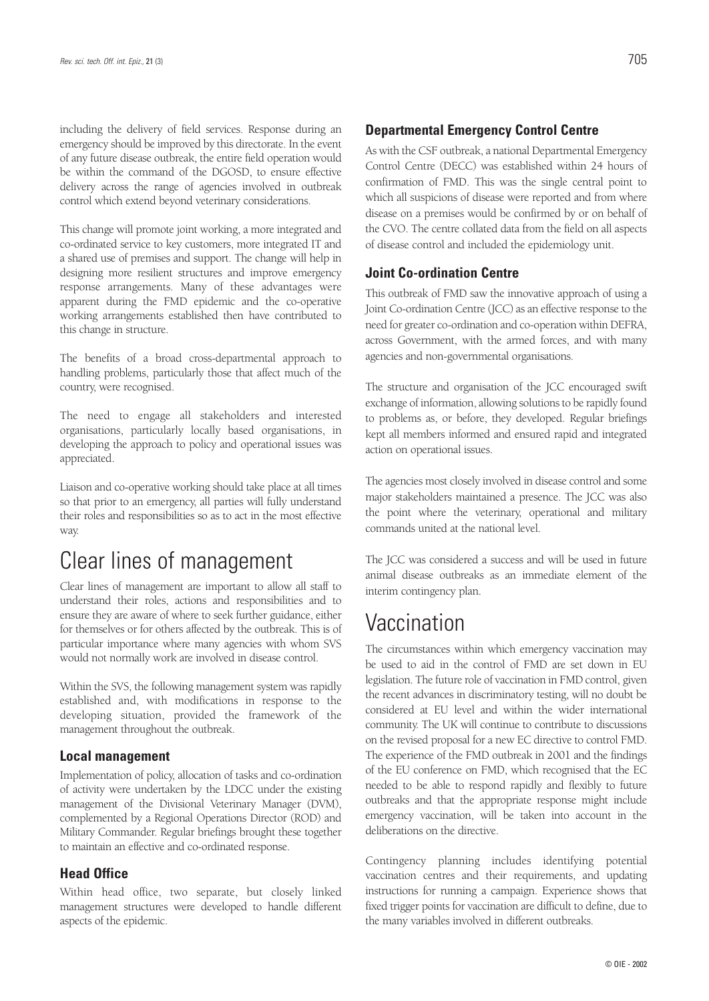including the delivery of field services. Response during an emergency should be improved by this directorate. In the event of any future disease outbreak, the entire field operation would be within the command of the DGOSD, to ensure effective delivery across the range of agencies involved in outbreak control which extend beyond veterinary considerations.

This change will promote joint working, a more integrated and co-ordinated service to key customers, more integrated IT and a shared use of premises and support. The change will help in designing more resilient structures and improve emergency response arrangements. Many of these advantages were apparent during the FMD epidemic and the co-operative working arrangements established then have contributed to this change in structure.

The benefits of a broad cross-departmental approach to handling problems, particularly those that affect much of the country, were recognised.

The need to engage all stakeholders and interested organisations, particularly locally based organisations, in developing the approach to policy and operational issues was appreciated.

Liaison and co-operative working should take place at all times so that prior to an emergency, all parties will fully understand their roles and responsibilities so as to act in the most effective way.

## Clear lines of management

Clear lines of management are important to allow all staff to understand their roles, actions and responsibilities and to ensure they are aware of where to seek further guidance, either for themselves or for others affected by the outbreak. This is of particular importance where many agencies with whom SVS would not normally work are involved in disease control.

Within the SVS, the following management system was rapidly established and, with modifications in response to the developing situation, provided the framework of the management throughout the outbreak.

### **Local management**

Implementation of policy, allocation of tasks and co-ordination of activity were undertaken by the LDCC under the existing management of the Divisional Veterinary Manager (DVM), complemented by a Regional Operations Director (ROD) and Military Commander. Regular briefings brought these together to maintain an effective and co-ordinated response.

### **Head Office**

Within head office, two separate, but closely linked management structures were developed to handle different aspects of the epidemic.

### **Departmental Emergency Control Centre**

As with the CSF outbreak, a national Departmental Emergency Control Centre (DECC) was established within 24 hours of confirmation of FMD. This was the single central point to which all suspicions of disease were reported and from where disease on a premises would be confirmed by or on behalf of the CVO. The centre collated data from the field on all aspects of disease control and included the epidemiology unit.

#### **Joint Co-ordination Centre**

This outbreak of FMD saw the innovative approach of using a Joint Co-ordination Centre (JCC) as an effective response to the need for greater co-ordination and co-operation within DEFRA, across Government, with the armed forces, and with many agencies and non-governmental organisations.

The structure and organisation of the JCC encouraged swift exchange of information, allowing solutions to be rapidly found to problems as, or before, they developed. Regular briefings kept all members informed and ensured rapid and integrated action on operational issues.

The agencies most closely involved in disease control and some major stakeholders maintained a presence. The JCC was also the point where the veterinary, operational and military commands united at the national level.

The JCC was considered a success and will be used in future animal disease outbreaks as an immediate element of the interim contingency plan.

## **Vaccination**

The circumstances within which emergency vaccination may be used to aid in the control of FMD are set down in EU legislation. The future role of vaccination in FMD control, given the recent advances in discriminatory testing, will no doubt be considered at EU level and within the wider international community. The UK will continue to contribute to discussions on the revised proposal for a new EC directive to control FMD. The experience of the FMD outbreak in 2001 and the findings of the EU conference on FMD, which recognised that the EC needed to be able to respond rapidly and flexibly to future outbreaks and that the appropriate response might include emergency vaccination, will be taken into account in the deliberations on the directive.

Contingency planning includes identifying potential vaccination centres and their requirements, and updating instructions for running a campaign. Experience shows that fixed trigger points for vaccination are difficult to define, due to the many variables involved in different outbreaks.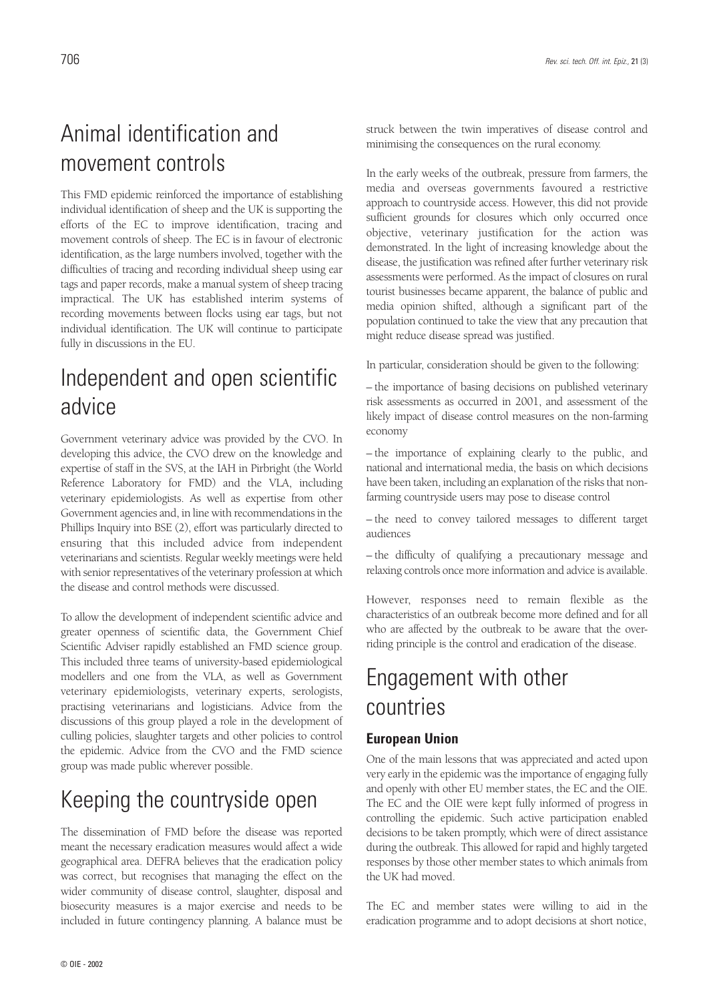# Animal identification and movement controls

This FMD epidemic reinforced the importance of establishing individual identification of sheep and the UK is supporting the efforts of the EC to improve identification, tracing and movement controls of sheep. The EC is in favour of electronic identification, as the large numbers involved, together with the difficulties of tracing and recording individual sheep using ear tags and paper records, make a manual system of sheep tracing impractical. The UK has established interim systems of recording movements between flocks using ear tags, but not individual identification. The UK will continue to participate fully in discussions in the EU.

# Independent and open scientific advice

Government veterinary advice was provided by the CVO. In developing this advice, the CVO drew on the knowledge and expertise of staff in the SVS, at the IAH in Pirbright (the World Reference Laboratory for FMD) and the VLA, including veterinary epidemiologists. As well as expertise from other Government agencies and, in line with recommendations in the Phillips Inquiry into BSE (2), effort was particularly directed to ensuring that this included advice from independent veterinarians and scientists. Regular weekly meetings were held with senior representatives of the veterinary profession at which the disease and control methods were discussed.

To allow the development of independent scientific advice and greater openness of scientific data, the Government Chief Scientific Adviser rapidly established an FMD science group. This included three teams of university-based epidemiological modellers and one from the VLA, as well as Government veterinary epidemiologists, veterinary experts, serologists, practising veterinarians and logisticians. Advice from the discussions of this group played a role in the development of culling policies, slaughter targets and other policies to control the epidemic. Advice from the CVO and the FMD science group was made public wherever possible.

# Keeping the countryside open

The dissemination of FMD before the disease was reported meant the necessary eradication measures would affect a wide geographical area. DEFRA believes that the eradication policy was correct, but recognises that managing the effect on the wider community of disease control, slaughter, disposal and biosecurity measures is a major exercise and needs to be included in future contingency planning. A balance must be struck between the twin imperatives of disease control and minimising the consequences on the rural economy.

In the early weeks of the outbreak, pressure from farmers, the media and overseas governments favoured a restrictive approach to countryside access. However, this did not provide sufficient grounds for closures which only occurred once objective, veterinary justification for the action was demonstrated. In the light of increasing knowledge about the disease, the justification was refined after further veterinary risk assessments were performed. As the impact of closures on rural tourist businesses became apparent, the balance of public and media opinion shifted, although a significant part of the population continued to take the view that any precaution that might reduce disease spread was justified.

In particular, consideration should be given to the following:

– the importance of basing decisions on published veterinary risk assessments as occurred in 2001, and assessment of the likely impact of disease control measures on the non-farming economy

– the importance of explaining clearly to the public, and national and international media, the basis on which decisions have been taken, including an explanation of the risks that nonfarming countryside users may pose to disease control

– the need to convey tailored messages to different target audiences

– the difficulty of qualifying a precautionary message and relaxing controls once more information and advice is available.

However, responses need to remain flexible as the characteristics of an outbreak become more defined and for all who are affected by the outbreak to be aware that the overriding principle is the control and eradication of the disease.

# Engagement with other countries

### **European Union**

One of the main lessons that was appreciated and acted upon very early in the epidemic was the importance of engaging fully and openly with other EU member states, the EC and the OIE. The EC and the OIE were kept fully informed of progress in controlling the epidemic. Such active participation enabled decisions to be taken promptly, which were of direct assistance during the outbreak. This allowed for rapid and highly targeted responses by those other member states to which animals from the UK had moved.

The EC and member states were willing to aid in the eradication programme and to adopt decisions at short notice,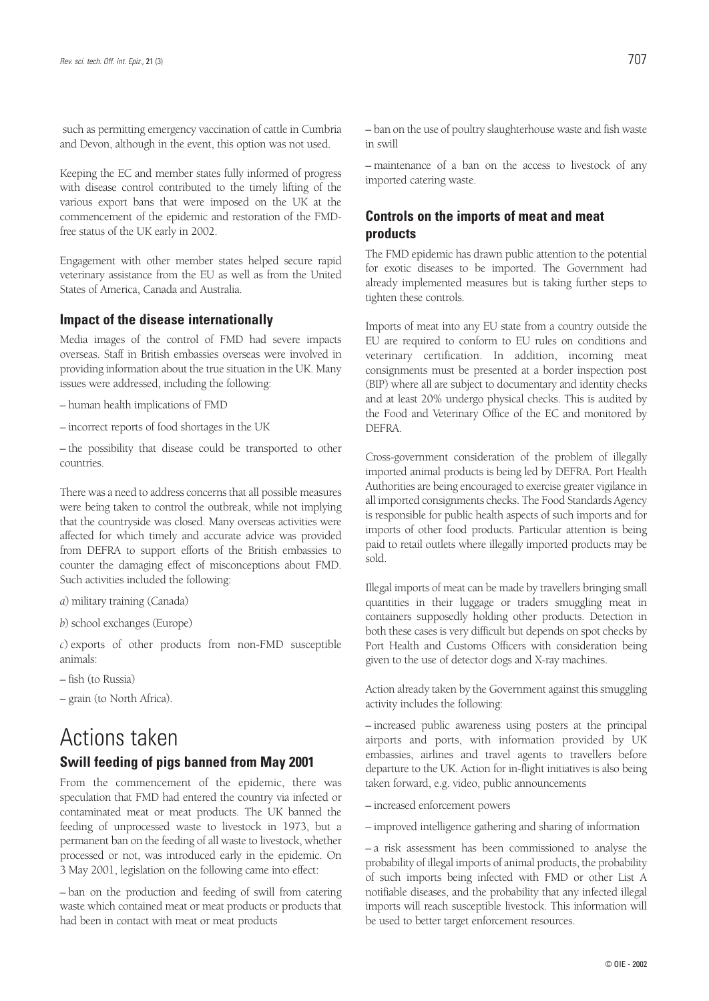such as permitting emergency vaccination of cattle in Cumbria and Devon, although in the event, this option was not used.

Keeping the EC and member states fully informed of progress with disease control contributed to the timely lifting of the various export bans that were imposed on the UK at the commencement of the epidemic and restoration of the FMDfree status of the UK early in 2002.

Engagement with other member states helped secure rapid veterinary assistance from the EU as well as from the United States of America, Canada and Australia.

### **Impact of the disease internationally**

Media images of the control of FMD had severe impacts overseas. Staff in British embassies overseas were involved in providing information about the true situation in the UK. Many issues were addressed, including the following:

– human health implications of FMD

– incorrect reports of food shortages in the UK

– the possibility that disease could be transported to other countries.

There was a need to address concerns that all possible measures were being taken to control the outbreak, while not implying that the countryside was closed. Many overseas activities were affected for which timely and accurate advice was provided from DEFRA to support efforts of the British embassies to counter the damaging effect of misconceptions about FMD. Such activities included the following:

*a*) military training (Canada)

*b*) school exchanges (Europe)

*c*) exports of other products from non-FMD susceptible animals:

– fish (to Russia)

– grain (to North Africa).

## Actions taken

### **Swill feeding of pigs banned from May 2001**

From the commencement of the epidemic, there was speculation that FMD had entered the country via infected or contaminated meat or meat products. The UK banned the feeding of unprocessed waste to livestock in 1973, but a permanent ban on the feeding of all waste to livestock, whether processed or not, was introduced early in the epidemic. On 3 May 2001, legislation on the following came into effect:

– ban on the production and feeding of swill from catering waste which contained meat or meat products or products that had been in contact with meat or meat products

– ban on the use of poultry slaughterhouse waste and fish waste in swill

– maintenance of a ban on the access to livestock of any imported catering waste.

### **Controls on the imports of meat and meat products**

The FMD epidemic has drawn public attention to the potential for exotic diseases to be imported. The Government had already implemented measures but is taking further steps to tighten these controls.

Imports of meat into any EU state from a country outside the EU are required to conform to EU rules on conditions and veterinary certification. In addition, incoming meat consignments must be presented at a border inspection post (BIP) where all are subject to documentary and identity checks and at least 20% undergo physical checks. This is audited by the Food and Veterinary Office of the EC and monitored by DEFRA.

Cross-government consideration of the problem of illegally imported animal products is being led by DEFRA. Port Health Authorities are being encouraged to exercise greater vigilance in all imported consignments checks. The Food Standards Agency is responsible for public health aspects of such imports and for imports of other food products. Particular attention is being paid to retail outlets where illegally imported products may be sold.

Illegal imports of meat can be made by travellers bringing small quantities in their luggage or traders smuggling meat in containers supposedly holding other products. Detection in both these cases is very difficult but depends on spot checks by Port Health and Customs Officers with consideration being given to the use of detector dogs and X-ray machines.

Action already taken by the Government against this smuggling activity includes the following:

– increased public awareness using posters at the principal airports and ports, with information provided by UK embassies, airlines and travel agents to travellers before departure to the UK. Action for in-flight initiatives is also being taken forward, e.g. video, public announcements

– increased enforcement powers

– improved intelligence gathering and sharing of information

– a risk assessment has been commissioned to analyse the probability of illegal imports of animal products, the probability of such imports being infected with FMD or other List A notifiable diseases, and the probability that any infected illegal imports will reach susceptible livestock. This information will be used to better target enforcement resources.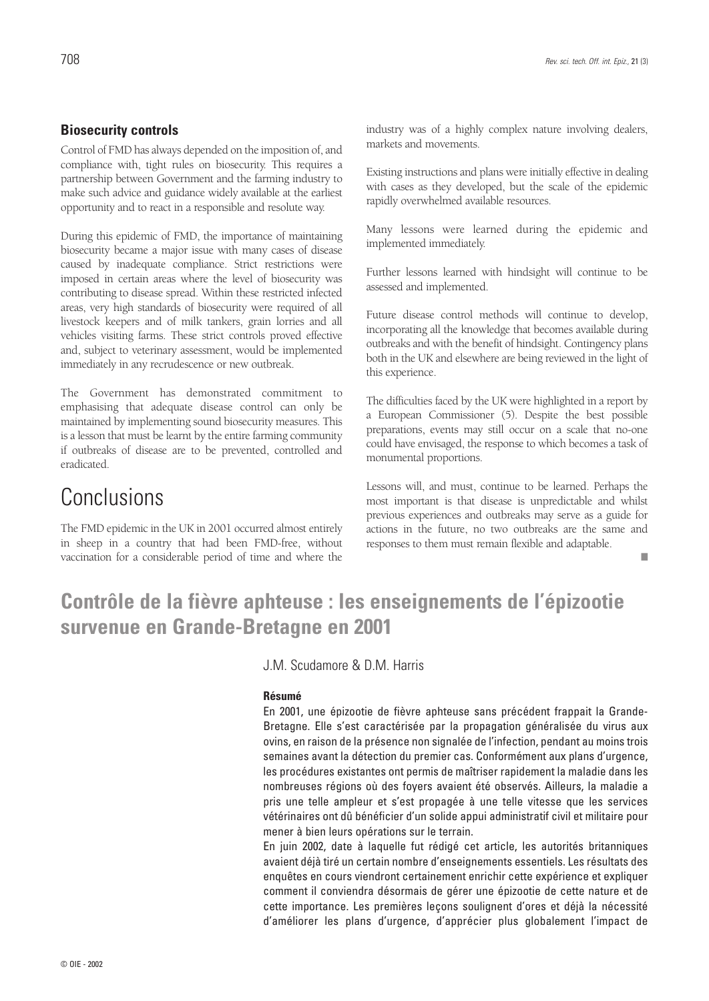Control of FMD has always depended on the imposition of, and compliance with, tight rules on biosecurity. This requires a partnership between Government and the farming industry to make such advice and guidance widely available at the earliest opportunity and to react in a responsible and resolute way.

During this epidemic of FMD, the importance of maintaining biosecurity became a major issue with many cases of disease caused by inadequate compliance. Strict restrictions were imposed in certain areas where the level of biosecurity was contributing to disease spread. Within these restricted infected areas, very high standards of biosecurity were required of all livestock keepers and of milk tankers, grain lorries and all vehicles visiting farms. These strict controls proved effective and, subject to veterinary assessment, would be implemented immediately in any recrudescence or new outbreak.

The Government has demonstrated commitment to emphasising that adequate disease control can only be maintained by implementing sound biosecurity measures. This is a lesson that must be learnt by the entire farming community if outbreaks of disease are to be prevented, controlled and eradicated.

# Conclusions

The FMD epidemic in the UK in 2001 occurred almost entirely in sheep in a country that had been FMD-free, without vaccination for a considerable period of time and where the

industry was of a highly complex nature involving dealers, markets and movements.

Existing instructions and plans were initially effective in dealing with cases as they developed, but the scale of the epidemic rapidly overwhelmed available resources.

Many lessons were learned during the epidemic and implemented immediately.

Further lessons learned with hindsight will continue to be assessed and implemented.

Future disease control methods will continue to develop, incorporating all the knowledge that becomes available during outbreaks and with the benefit of hindsight. Contingency plans both in the UK and elsewhere are being reviewed in the light of this experience.

The difficulties faced by the UK were highlighted in a report by a European Commissioner (5). Despite the best possible preparations, events may still occur on a scale that no-one could have envisaged, the response to which becomes a task of monumental proportions.

Lessons will, and must, continue to be learned. Perhaps the most important is that disease is unpredictable and whilst previous experiences and outbreaks may serve as a guide for actions in the future, no two outbreaks are the same and responses to them must remain flexible and adaptable.

■

# **Contrôle de la fièvre aphteuse : les enseignements de l'épizootie survenue en Grande-Bretagne en 2001**

J.M. Scudamore & D.M. Harris

### **Résumé**

En 2001, une épizootie de fièvre aphteuse sans précédent frappait la Grande-Bretagne. Elle s'est caractérisée par la propagation généralisée du virus aux ovins, en raison de la présence non signalée de l'infection, pendant au moins trois semaines avant la détection du premier cas. Conformément aux plans d'urgence, les procédures existantes ont permis de maîtriser rapidement la maladie dans les nombreuses régions où des foyers avaient été observés. Ailleurs, la maladie a pris une telle ampleur et s'est propagée à une telle vitesse que les services vétérinaires ont dû bénéficier d'un solide appui administratif civil et militaire pour mener à bien leurs opérations sur le terrain.

En juin 2002, date à laquelle fut rédigé cet article, les autorités britanniques avaient déjà tiré un certain nombre d'enseignements essentiels. Les résultats des enquêtes en cours viendront certainement enrichir cette expérience et expliquer comment il conviendra désormais de gérer une épizootie de cette nature et de cette importance. Les premières leçons soulignent d'ores et déjà la nécessité d'améliorer les plans d'urgence, d'apprécier plus globalement l'impact de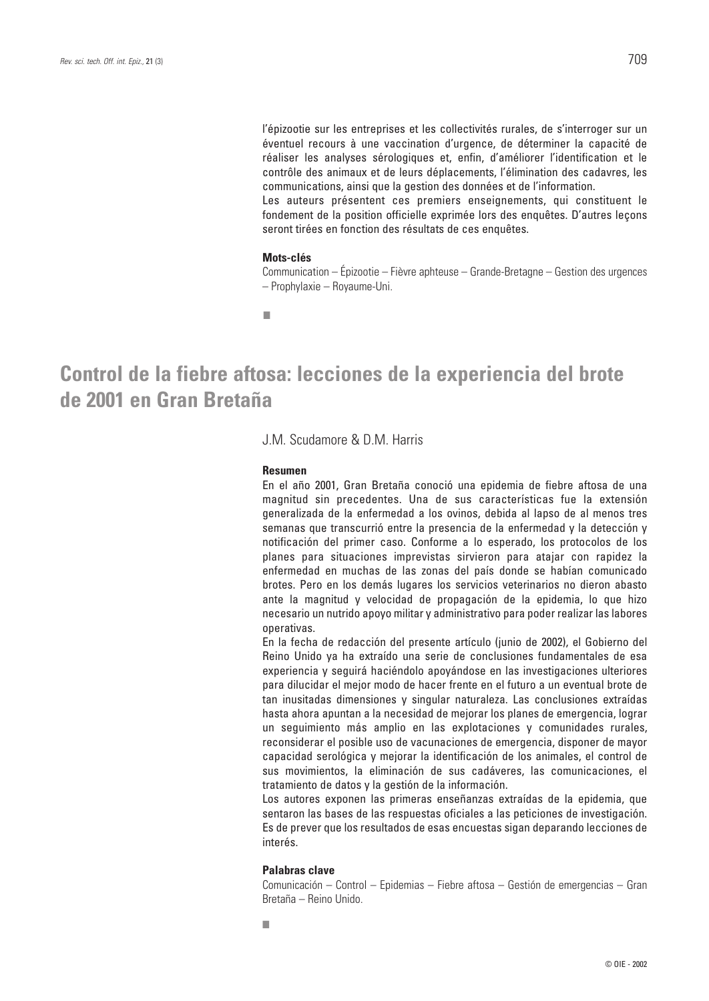l'épizootie sur les entreprises et les collectivités rurales, de s'interroger sur un éventuel recours à une vaccination d'urgence, de déterminer la capacité de réaliser les analyses sérologiques et, enfin, d'améliorer l'identification et le contrôle des animaux et de leurs déplacements, l'élimination des cadavres, les communications, ainsi que la gestion des données et de l'information.

Les auteurs présentent ces premiers enseignements, qui constituent le fondement de la position officielle exprimée lors des enquêtes. D'autres leçons seront tirées en fonction des résultats de ces enquêtes.

#### **Mots-clés**

Communication – Épizootie – Fièvre aphteuse – Grande-Bretagne – Gestion des urgences – Prophylaxie – Royaume-Uni.

■

## **Control de la fiebre aftosa: lecciones de la experiencia del brote de 2001 en Gran Bretaña**

J.M. Scudamore & D.M. Harris

#### **Resumen**

En el año 2001, Gran Bretaña conoció una epidemia de fiebre aftosa de una magnitud sin precedentes. Una de sus características fue la extensión generalizada de la enfermedad a los ovinos, debida al lapso de al menos tres semanas que transcurrió entre la presencia de la enfermedad y la detección y notificación del primer caso. Conforme a lo esperado, los protocolos de los planes para situaciones imprevistas sirvieron para atajar con rapidez la enfermedad en muchas de las zonas del país donde se habían comunicado brotes. Pero en los demás lugares los servicios veterinarios no dieron abasto ante la magnitud y velocidad de propagación de la epidemia, lo que hizo necesario un nutrido apoyo militar y administrativo para poder realizar las labores operativas.

En la fecha de redacción del presente artículo (junio de 2002), el Gobierno del Reino Unido ya ha extraído una serie de conclusiones fundamentales de esa experiencia y seguirá haciéndolo apoyándose en las investigaciones ulteriores para dilucidar el mejor modo de hacer frente en el futuro a un eventual brote de tan inusitadas dimensiones y singular naturaleza. Las conclusiones extraídas hasta ahora apuntan a la necesidad de mejorar los planes de emergencia, lograr un seguimiento más amplio en las explotaciones y comunidades rurales, reconsiderar el posible uso de vacunaciones de emergencia, disponer de mayor capacidad serológica y mejorar la identificación de los animales, el control de sus movimientos, la eliminación de sus cadáveres, las comunicaciones, el tratamiento de datos y la gestión de la información.

Los autores exponen las primeras enseñanzas extraídas de la epidemia, que sentaron las bases de las respuestas oficiales a las peticiones de investigación. Es de prever que los resultados de esas encuestas sigan deparando lecciones de interés.

#### **Palabras clave**

Comunicación – Control – Epidemias – Fiebre aftosa – Gestión de emergencias – Gran Bretaña – Reino Unido.